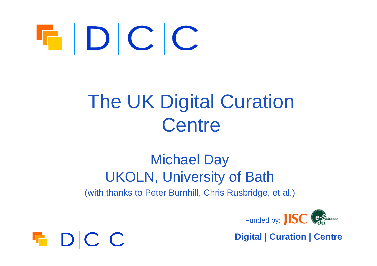# $\blacksquare$   $\blacksquare$   $\blacksquare$   $\blacksquare$

 $F|D|C|C$ 

#### The UK Digital Curation **Centre**

#### Michael Day UKOLN, University of Bath

(with thanks to Peter Burnhill, Chris Rusbridge, et al.)



**Digital | Curation | Centre**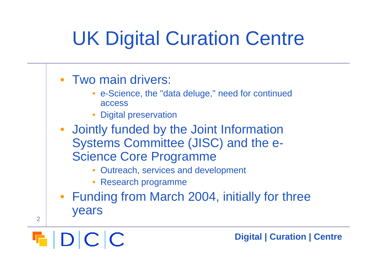## UK Digital Curation Centre

- Two main drivers:
	- • e-Science, the "data deluge," need for continued access
	- •Digital preservation
- Jointly funded by the Joint Information Systems Committee (JISC) and the e-Science Core Programme
	- •Outreach, services and development
	- Research programme
- Funding from March 2004, initially for three years



2

**Digital | Curation | Centre**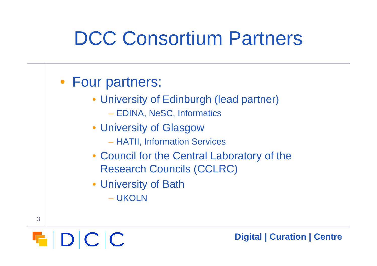#### DCC Consortium Partners



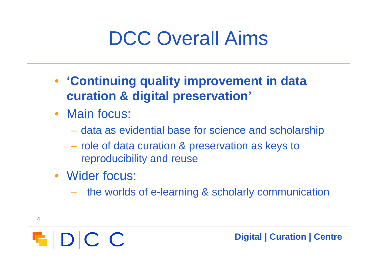#### DCC Overall Aims

- **'Continuing quality improvement in data curation & digital preservation'**
- Main focus:
	- data as evidential base for science and scholarship
	- role of data curation & preservation as keys to reproducibility and reuse
- Wider focus:
	- –the worlds of e-learning & scholarly communication



4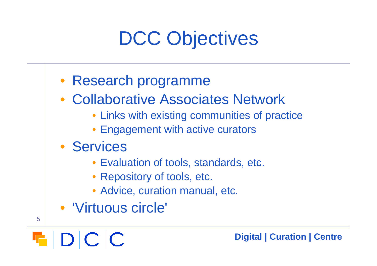## DCC Objectives

#### • Research programme

- Collaborative Associates Network
	- Links with existing communities of practice
	- Engagement with active curators

#### • Services

- Evaluation of tools, standards, etc.
- Repository of tools, etc.
- Advice, curation manual, etc.
- 'Virtuous circle'